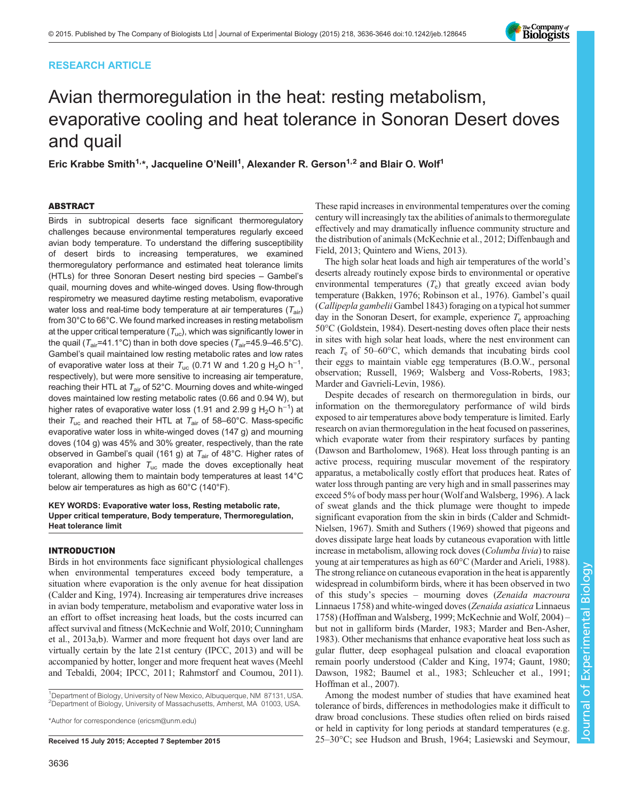# RESEARCH ARTICLE



# Avian thermoregulation in the heat: resting metabolism, evaporative cooling and heat tolerance in Sonoran Desert doves and quail

Eric Krabbe Smith<sup>1,\*</sup>, Jacqueline O'Neill<sup>1</sup>, Alexander R. Gerson<sup>1,2</sup> and Blair O. Wolf<sup>1</sup>

# ABSTRACT

Birds in subtropical deserts face significant thermoregulatory challenges because environmental temperatures regularly exceed avian body temperature. To understand the differing susceptibility of desert birds to increasing temperatures, we examined thermoregulatory performance and estimated heat tolerance limits (HTLs) for three Sonoran Desert nesting bird species – Gambel's quail, mourning doves and white-winged doves. Using flow-through respirometry we measured daytime resting metabolism, evaporative water loss and real-time body temperature at air temperatures  $(T_{air})$ from 30°C to 66°C. We found marked increases in resting metabolism at the upper critical temperature  $(T_{uc})$ , which was significantly lower in the quail ( $T_{air}$ =41.1°C) than in both dove species ( $T_{air}$ =45.9–46.5°C). Gambel's quail maintained low resting metabolic rates and low rates of evaporative water loss at their  $T_{\rm uc}$  (0.71 W and 1.20 g H<sub>2</sub>O h<sup>-1</sup>, respectively), but were more sensitive to increasing air temperature, reaching their HTL at  $T_{air}$  of 52°C. Mourning doves and white-winged doves maintained low resting metabolic rates (0.66 and 0.94 W), but higher rates of evaporative water loss (1.91 and 2.99 g H<sub>2</sub>O h<sup>-1</sup>) at their  $T_{\text{uc}}$  and reached their HTL at  $T_{\text{air}}$  of 58–60°C. Mass-specific evaporative water loss in white-winged doves (147 g) and mourning doves (104 g) was 45% and 30% greater, respectively, than the rate observed in Gambel's quail (161 g) at  $T_{air}$  of 48°C. Higher rates of evaporation and higher  $T_{\text{uc}}$  made the doves exceptionally heat tolerant, allowing them to maintain body temperatures at least 14°C below air temperatures as high as 60°C (140°F).

# KEY WORDS: Evaporative water loss, Resting metabolic rate, Upper critical temperature, Body temperature, Thermoregulation, Heat tolerance limit

### INTRODUCTION

Birds in hot environments face significant physiological challenges when environmental temperatures exceed body temperature, a situation where evaporation is the only avenue for heat dissipation [\(Calder and King, 1974\)](#page-9-0). Increasing air temperatures drive increases in avian body temperature, metabolism and evaporative water loss in an effort to offset increasing heat loads, but the costs incurred can affect survival and fitness ([McKechnie and Wolf, 2010](#page-10-0); [Cunningham](#page-9-0) [et al., 2013a,b\)](#page-9-0). Warmer and more frequent hot days over land are virtually certain by the late 21st century [\(IPCC, 2013\)](#page-9-0) and will be accompanied by hotter, longer and more frequent heat waves [\(Meehl](#page-10-0) [and Tebaldi, 2004](#page-10-0); [IPCC, 2011;](#page-9-0) [Rahmstorf and Coumou, 2011\)](#page-10-0).

<sup>1</sup>Department of Biology, University of New Mexico, Albuquerque, NM 87131, USA. <sup>2</sup>Department of Biology, University of Massachusetts, Amherst, MA 01003, USA.

\*Author for correspondence [\(ericsm@unm.edu](mailto:ericsm@unm.edu))

These rapid increases in environmental temperatures over the coming century will increasingly tax the abilities of animals to thermoregulate effectively and may dramatically influence community structure and the distribution of animals [\(McKechnie et al., 2012;](#page-10-0) [Diffenbaugh and](#page-9-0) [Field, 2013](#page-9-0); [Quintero and Wiens, 2013\)](#page-10-0).

The high solar heat loads and high air temperatures of the world's deserts already routinely expose birds to environmental or operative environmental temperatures  $(T_e)$  that greatly exceed avian body temperature [\(Bakken, 1976](#page-9-0); [Robinson et al., 1976\)](#page-10-0). Gambel's quail (Callipepla gambelii Gambel 1843) foraging on a typical hot summer day in the Sonoran Desert, for example, experience  $T_e$  approaching 50°C ([Goldstein, 1984](#page-9-0)). Desert-nesting doves often place their nests in sites with high solar heat loads, where the nest environment can reach  $T_e$  of 50–60°C, which demands that incubating birds cool their eggs to maintain viable egg temperatures (B.O.W., personal observation; [Russell, 1969; Walsberg and Voss-Roberts, 1983](#page-10-0); [Marder and Gavrieli-Levin, 1986](#page-9-0)).

Despite decades of research on thermoregulation in birds, our information on the thermoregulatory performance of wild birds exposed to air temperatures above body temperature is limited. Early research on avian thermoregulation in the heat focused on passerines, which evaporate water from their respiratory surfaces by panting [\(Dawson and Bartholomew, 1968\)](#page-9-0). Heat loss through panting is an active process, requiring muscular movement of the respiratory apparatus, a metabolically costly effort that produces heat. Rates of water loss through panting are very high and in small passerines may exceed 5% of body mass per hour [\(Wolf and Walsberg, 1996](#page-10-0)). A lack of sweat glands and the thick plumage were thought to impede significant evaporation from the skin in birds ([Calder and Schmidt-](#page-9-0)[Nielsen, 1967](#page-9-0)). [Smith and Suthers \(1969\)](#page-10-0) showed that pigeons and doves dissipate large heat loads by cutaneous evaporation with little increase in metabolism, allowing rock doves (Columba livia) to raise young at air temperatures as high as 60°C [\(Marder and Arieli, 1988\)](#page-9-0). The strong reliance on cutaneous evaporation in the heat is apparently widespread in columbiform birds, where it has been observed in two of this study's species – mourning doves (Zenaida macroura Linnaeus 1758) and white-winged doves (Zenaida asiatica Linnaeus 1758) ([Hoffman and Walsberg, 1999;](#page-9-0) [McKechnie and Wolf, 2004](#page-10-0)) – but not in galliform birds [\(Marder, 1983; Marder and Ben-Asher,](#page-9-0) [1983\)](#page-9-0). Other mechanisms that enhance evaporative heat loss such as gular flutter, deep esophageal pulsation and cloacal evaporation remain poorly understood ([Calder and King, 1974](#page-9-0); [Gaunt, 1980](#page-9-0); [Dawson, 1982](#page-9-0); [Baumel et al., 1983](#page-9-0); [Schleucher et al., 1991](#page-10-0); [Hoffman et al., 2007\)](#page-9-0).

Among the modest number of studies that have examined heat tolerance of birds, differences in methodologies make it difficult to draw broad conclusions. These studies often relied on birds raised or held in captivity for long periods at standard temperatures (e.g. Received 15 July 2015; Accepted 7 September 2015 25-30°C; see [Hudson and Brush, 1964; Lasiewski and Seymour,](#page-9-0)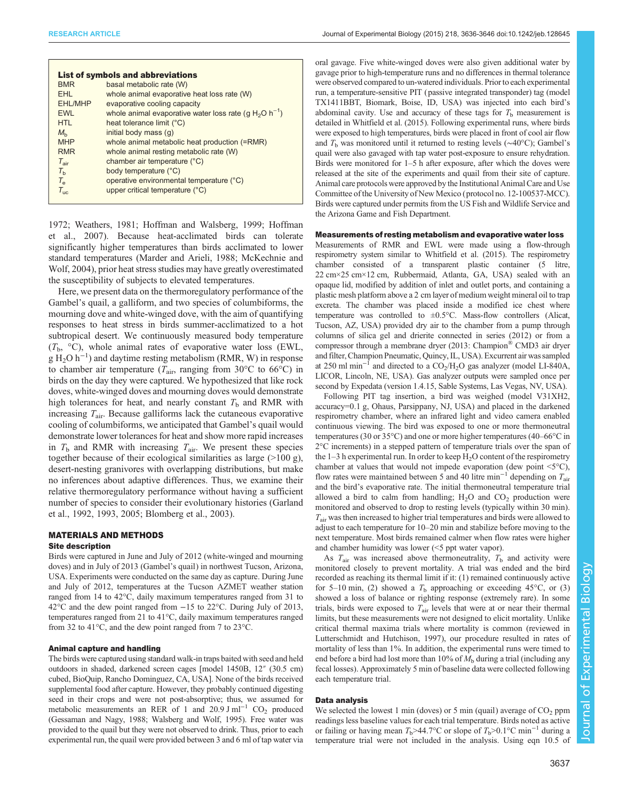| <b>List of symbols and abbreviations</b> |                                                                                |  |  |  |  |  |  |  |  |
|------------------------------------------|--------------------------------------------------------------------------------|--|--|--|--|--|--|--|--|
| <b>BMR</b>                               | basal metabolic rate (W)                                                       |  |  |  |  |  |  |  |  |
| FHI.                                     | whole animal evaporative heat loss rate (W)                                    |  |  |  |  |  |  |  |  |
| <b>EHL/MHP</b>                           | evaporative cooling capacity                                                   |  |  |  |  |  |  |  |  |
| <b>EWL</b>                               | whole animal evaporative water loss rate (g H <sub>2</sub> O h <sup>-1</sup> ) |  |  |  |  |  |  |  |  |
| <b>HTI</b>                               | heat tolerance limit (°C)                                                      |  |  |  |  |  |  |  |  |
| $M_h$                                    | initial body mass (q)                                                          |  |  |  |  |  |  |  |  |
| <b>MHP</b>                               | whole animal metabolic heat production (=RMR)                                  |  |  |  |  |  |  |  |  |
| <b>RMR</b>                               | whole animal resting metabolic rate (W)                                        |  |  |  |  |  |  |  |  |
| $T_{\text{air}}$                         | chamber air temperature (°C)                                                   |  |  |  |  |  |  |  |  |
| $T_{\rm b}$                              | body temperature (°C)                                                          |  |  |  |  |  |  |  |  |
| $T_{\rm e}$                              | operative environmental temperature (°C)                                       |  |  |  |  |  |  |  |  |
| $T_{\text{inc}}$                         | upper critical temperature (°C)                                                |  |  |  |  |  |  |  |  |
|                                          |                                                                                |  |  |  |  |  |  |  |  |

[1972](#page-9-0); [Weathers, 1981;](#page-10-0) [Hoffman and Walsberg, 1999](#page-9-0); [Hoffman](#page-9-0) [et al., 2007](#page-9-0)). Because heat-acclimated birds can tolerate significantly higher temperatures than birds acclimated to lower standard temperatures ([Marder and Arieli, 1988;](#page-9-0) [McKechnie and](#page-10-0) [Wolf, 2004](#page-10-0)), prior heat stress studies may have greatly overestimated the susceptibility of subjects to elevated temperatures.

Here, we present data on the thermoregulatory performance of the Gambel's quail, a galliform, and two species of columbiforms, the mourning dove and white-winged dove, with the aim of quantifying responses to heat stress in birds summer-acclimatized to a hot subtropical desert. We continuously measured body temperature  $(T<sub>b</sub>, °C)$ , whole animal rates of evaporative water loss (EWL,  $g H<sub>2</sub>O h<sup>-1</sup>$  and daytime resting metabolism (RMR, W) in response to chamber air temperature ( $T_{\text{air}}$ , ranging from 30°C to 66°C) in birds on the day they were captured. We hypothesized that like rock doves, white-winged doves and mourning doves would demonstrate high tolerances for heat, and nearly constant  $T<sub>b</sub>$  and RMR with increasing  $T_{\text{air}}$ . Because galliforms lack the cutaneous evaporative cooling of columbiforms, we anticipated that Gambel's quail would demonstrate lower tolerances for heat and show more rapid increases in  $T<sub>b</sub>$  and RMR with increasing  $T<sub>air</sub>$ . We present these species together because of their ecological similarities as large (>100 g), desert-nesting granivores with overlapping distributions, but make no inferences about adaptive differences. Thus, we examine their relative thermoregulatory performance without having a sufficient number of species to consider their evolutionary histories ([Garland](#page-9-0) [et al., 1992, 1993, 2005; Blomberg et al., 2003\)](#page-9-0).

# MATERIALS AND METHODS

# Site description

Birds were captured in June and July of 2012 (white-winged and mourning doves) and in July of 2013 (Gambel's quail) in northwest Tucson, Arizona, USA. Experiments were conducted on the same day as capture. During June and July of 2012, temperatures at the Tucson AZMET weather station ranged from 14 to 42°C, daily maximum temperatures ranged from 31 to 42°C and the dew point ranged from −15 to 22°C. During July of 2013, temperatures ranged from 21 to 41°C, daily maximum temperatures ranged from 32 to 41°C, and the dew point ranged from 7 to 23°C.

## Animal capture and handling

The birds were captured using standard walk-in traps baited with seed and held outdoors in shaded, darkened screen cages [model 1450B, 12″ (30.5 cm) cubed, BioQuip, Rancho Dominguez, CA, USA]. None of the birds received supplemental food after capture. However, they probably continued digesting seed in their crops and were not post-absorptive; thus, we assumed for metabolic measurements an RER of 1 and 20.9 J ml<sup>-1</sup> CO<sub>2</sub> produced ([Gessaman and Nagy, 1988](#page-9-0); [Walsberg and Wolf, 1995](#page-10-0)). Free water was provided to the quail but they were not observed to drink. Thus, prior to each experimental run, the quail were provided between 3 and 6 ml of tap water via

oral gavage. Five white-winged doves were also given additional water by gavage prior to high-temperature runs and no differences in thermal tolerance were observed compared to un-watered individuals. Prior to each experimental run, a temperature-sensitive PIT (passive integrated transponder) tag (model TX1411BBT, Biomark, Boise, ID, USA) was injected into each bird's abdominal cavity. Use and accuracy of these tags for  $T<sub>b</sub>$  measurement is detailed in [Whitfield et al. \(2015\)](#page-10-0). Following experimental runs, where birds were exposed to high temperatures, birds were placed in front of cool air flow and  $T<sub>b</sub>$  was monitored until it returned to resting levels ( $\sim$ 40°C); Gambel's quail were also gavaged with tap water post-exposure to ensure rehydration. Birds were monitored for 1–5 h after exposure, after which the doves were released at the site of the experiments and quail from their site of capture. Animal care protocols were approved by the Institutional Animal Care and Use Committee of the University of New Mexico (protocol no. 12-100537-MCC). Birds were captured under permits from the US Fish and Wildlife Service and the Arizona Game and Fish Department.

#### Measurements of resting metabolism and evaporative water loss

Measurements of RMR and EWL were made using a flow-through respirometry system similar to [Whitfield et al. \(2015\).](#page-10-0) The respirometry chamber consisted of a transparent plastic container (5 litre, 22 cm×25 cm×12 cm, Rubbermaid, Atlanta, GA, USA) sealed with an opaque lid, modified by addition of inlet and outlet ports, and containing a plastic mesh platform above a 2 cm layer of medium weight mineral oil to trap excreta. The chamber was placed inside a modified ice chest where temperature was controlled to  $\pm 0.5^{\circ}$ C. Mass-flow controllers (Alicat, Tucson, AZ, USA) provided dry air to the chamber from a pump through columns of silica gel and drierite connected in series (2012) or from a compressor through a membrane dryer (2013: Champion® CMD3 air dryer and filter, Champion Pneumatic, Quincy, IL, USA). Excurrent air was sampled at 250 ml min<sup>-1</sup> and directed to a CO<sub>2</sub>/H<sub>2</sub>O gas analyzer (model LI-840A, LICOR, Lincoln, NE, USA). Gas analyzer outputs were sampled once per second by Expedata (version 1.4.15, Sable Systems, Las Vegas, NV, USA).

Following PIT tag insertion, a bird was weighed (model V31XH2, accuracy=0.1 g, Ohaus, Parsippany, NJ, USA) and placed in the darkened respirometry chamber, where an infrared light and video camera enabled continuous viewing. The bird was exposed to one or more thermoneutral temperatures (30 or 35°C) and one or more higher temperatures (40–66°C in 2°C increments) in a stepped pattern of temperature trials over the span of the  $1-3$  h experimental run. In order to keep  $H_2O$  content of the respirometry chamber at values that would not impede evaporation (dew point <5°C), flow rates were maintained between 5 and 40 litre min<sup>-1</sup> depending on  $T_{air}$ and the bird's evaporative rate. The initial thermoneutral temperature trial allowed a bird to calm from handling;  $H_2O$  and  $CO_2$  production were monitored and observed to drop to resting levels (typically within 30 min).  $T_{\text{air}}$  was then increased to higher trial temperatures and birds were allowed to adjust to each temperature for 10–20 min and stabilize before moving to the next temperature. Most birds remained calmer when flow rates were higher and chamber humidity was lower (<5 ppt water vapor).

As  $T_{\text{air}}$  was increased above thermoneutrality,  $T_{\text{b}}$  and activity were monitored closely to prevent mortality. A trial was ended and the bird recorded as reaching its thermal limit if it: (1) remained continuously active for 5–10 min, (2) showed a  $T<sub>b</sub>$  approaching or exceeding 45°C, or (3) showed a loss of balance or righting response (extremely rare). In some trials, birds were exposed to  $T_{\text{air}}$  levels that were at or near their thermal limits, but these measurements were not designed to elicit mortality. Unlike critical thermal maxima trials where mortality is common (reviewed in [Lutterschmidt and Hutchison, 1997\)](#page-9-0), our procedure resulted in rates of mortality of less than 1%. In addition, the experimental runs were timed to end before a bird had lost more than 10% of  $M<sub>b</sub>$  during a trial (including any fecal losses). Approximately 5 min of baseline data were collected following each temperature trial.

## Data analysis

We selected the lowest 1 min (doves) or 5 min (quail) average of  $CO<sub>2</sub>$  ppm readings less baseline values for each trial temperature. Birds noted as active or failing or having mean  $T_b$ >44.7°C or slope of  $T_b$ >0.1°C min<sup>-1</sup> during a temperature trial were not included in the analysis. Using eqn 10.5 of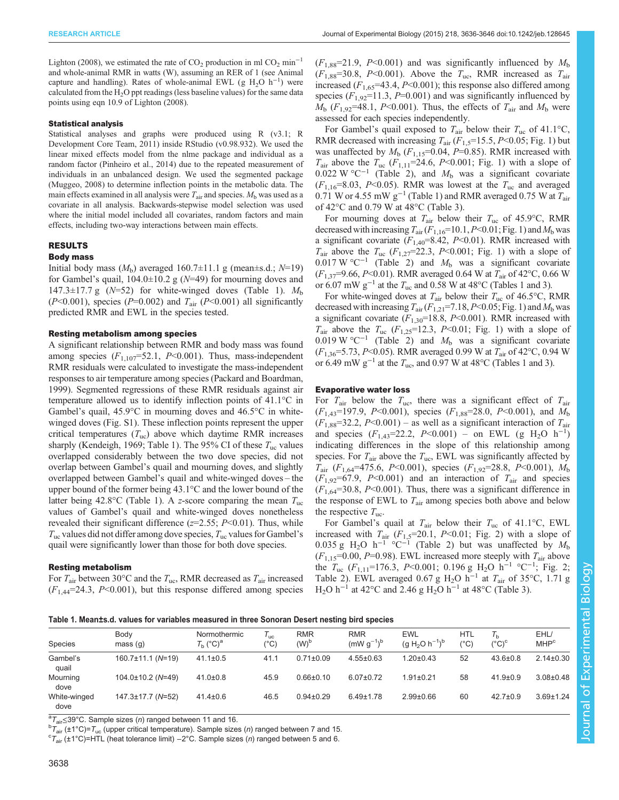<span id="page-2-0"></span>[Lighton \(2008\),](#page-9-0) we estimated the rate of  $CO_2$  production in ml  $CO_2$  min<sup>-1</sup> and whole-animal RMR in watts (W), assuming an RER of 1 (see Animal capture and handling). Rates of whole-animal EWL (g  $H_2O$  h<sup>-1</sup>) were calculated from the  $H_2O$  ppt readings (less baseline values) for the same data points using eqn 10.9 of [Lighton \(2008\).](#page-9-0)

### Statistical analysis

Statistical analyses and graphs were produced using R (v3.1; [R](#page-10-0) [Development Core Team, 2011](#page-10-0)) inside RStudio (v0.98.932). We used the linear mixed effects model from the nlme package and individual as a random factor [\(Pinheiro et al., 2014](#page-10-0)) due to the repeated measurement of individuals in an unbalanced design. We used the segmented package ([Muggeo, 2008\)](#page-10-0) to determine inflection points in the metabolic data. The main effects examined in all analysis were  $T_{\text{air}}$  and species.  $M_{\text{b}}$  was used as a covariate in all analysis. Backwards-stepwise model selection was used where the initial model included all covariates, random factors and main effects, including two-way interactions between main effects.

# RESULTS

# Body mass

Initial body mass  $(M_b)$  averaged 160.7 $\pm$ 11.1 g (mean $\pm$ s.d.; N=19) for Gambel's quail,  $104.0 \pm 10.2$  g ( $N=49$ ) for mourning doves and 147.3 $\pm$ 17.7 g (N=52) for white-winged doves (Table 1).  $M<sub>b</sub>$  $(P<0.001)$ , species  $(P=0.002)$  and  $T_{\text{air}}$   $(P<0.001)$  all significantly predicted RMR and EWL in the species tested.

## Resting metabolism among species

A significant relationship between RMR and body mass was found among species  $(F_{1,107} = 52.1, P<0.001)$ . Thus, mass-independent RMR residuals were calculated to investigate the mass-independent responses to air temperature among species (Packard and Boardman, 1999). Segmented regressions of these RMR residuals against air temperature allowed us to identify inflection points of 41.1°C in Gambel's quail, 45.9°C in mourning doves and 46.5°C in whitewinged doves [\(Fig. S1](http://jeb.biologists.org/lookup/suppl/doi:10.1242/jeb.128645/-/DC1)). These inflection points represent the upper critical temperatures  $(T_{uc})$  above which daytime RMR increases sharply ([Kendeigh, 1969;](#page-9-0) Table 1). The 95% CI of these  $T_{\text{uc}}$  values overlapped considerably between the two dove species, did not overlap between Gambel's quail and mourning doves, and slightly overlapped between Gambel's quail and white-winged doves – the upper bound of the former being 43.1°C and the lower bound of the latter being 42.8°C (Table 1). A z-score comparing the mean  $T_{uc}$ values of Gambel's quail and white-winged doves nonetheless revealed their significant difference ( $z=2.55$ ;  $P<0.01$ ). Thus, while  $T_{\text{uc}}$  values did not differ among dove species,  $T_{\text{uc}}$  values for Gambel's quail were significantly lower than those for both dove species.

# Resting metabolism

For  $T_{\text{air}}$  between 30°C and the  $T_{\text{uc}}$ , RMR decreased as  $T_{\text{air}}$  increased  $(F<sub>1.44</sub>=24.3, P<0.001)$ , but this response differed among species  $(F_{1,88}=21.9, P<0.001)$  and was significantly influenced by  $M_{\rm b}$  $(F_{1,88}=30.8, P<0.001)$ . Above the  $T_{\text{uc}}$ , RMR increased as  $T_{\text{air}}$ increased  $(F_{1,65} = 43.4, P \le 0.001)$ ; this response also differed among species  $(F_{1,92}=11.3, P=0.001)$  and was significantly influenced by  $M<sub>b</sub>$  ( $F<sub>1,92</sub>=48.1$ ,  $P<0.001$ ). Thus, the effects of  $T<sub>air</sub>$  and  $M<sub>b</sub>$  were assessed for each species independently.

For Gambel's quail exposed to  $T_{\text{air}}$  below their  $T_{\text{uc}}$  of 41.1°C, RMR decreased with increasing  $T_{\text{air}}$  ( $F_{1,5}=15.5$ ,  $P<0.05$ ; [Fig. 1\)](#page-3-0) but was unaffected by  $M_b$  ( $F_{1,15}=0.04$ ,  $P=0.85$ ). RMR increased with  $T_{\text{air}}$  above the  $T_{\text{uc}}$  ( $F_{1,11}$ =24.6,  $P<0.001$ ; [Fig. 1\)](#page-3-0) with a slope of 0.022 W °C<sup>-1</sup> [\(Table 2](#page-3-0)), and  $M<sub>b</sub>$  was a significant covariate  $(F_{1.16}=8.03, P<0.05)$ . RMR was lowest at the  $T_{uc}$  and averaged 0.71 W or 4.55 mW  $g^{-1}$  (Table 1) and RMR averaged 0.75 W at  $T_{air}$ of 42°C and 0.79 W at 48°C ([Table 3\)](#page-4-0).

For mourning doves at  $T_{\text{air}}$  below their  $T_{\text{uc}}$  of 45.9°C, RMR decreased with increasing  $T_{\text{air}}(F_{1,16}=10.1, P<0.01; Fig. 1)$  $T_{\text{air}}(F_{1,16}=10.1, P<0.01; Fig. 1)$  and  $M_{\text{b}}$  was a significant covariate  $(F_{1,40} = 8.42, P \le 0.01)$ . RMR increased with  $T_{\text{air}}$  above the  $T_{\text{uc}}$  ( $F_{1,27}=22.3$ ,  $P<0.001$ ; [Fig. 1](#page-3-0)) with a slope of  $0.017 \text{ W }^{\circ}\text{C}^{-1}$  [\(Table 2](#page-3-0)) and  $M_{\text{b}}$  was a significant covariate  $(F_{1,37} = 9.66, P \le 0.01)$ . RMR averaged 0.64 W at  $T_{\text{air}}$  of 42 °C, 0.66 W or 6.07 mW  $g^{-1}$  at the  $T_{\text{uc}}$  and 0.58 W at 48°C (Tables 1 and [3\)](#page-4-0).

For white-winged doves at  $T_{\text{air}}$  below their  $T_{\text{uc}}$  of 46.5°C, RMR decreased with increasing  $T_{\text{air}}(F_{1,21}=7.18, P<0.05; \text{Fig. 1})$  and  $M_{\text{b}}$  was a significant covariate ( $F_{1,30}$ =18.8, P<0.001). RMR increased with  $T_{\text{air}}$  above the  $T_{\text{uc}}$  ( $F_{1,25}=12.3$ ,  $P<0.01$ ; [Fig. 1](#page-3-0)) with a slope of 0.019 W °C<sup>-1</sup> [\(Table 2](#page-3-0)) and  $M<sub>b</sub>$  was a significant covariate  $(F_{1,36} = 5.73, P \le 0.05)$ . RMR averaged 0.99 W at  $T_{\text{air}}$  of 42°C, 0.94 W or 6.49 mW  $g^{-1}$  at the  $T_{\text{uc}}$ , and 0.97 W at 48°C (Tables 1 and [3\)](#page-4-0).

# Evaporative water loss

For  $T_{\text{air}}$  below the  $T_{\text{uc}}$ , there was a significant effect of  $T_{\text{air}}$  $(F_{1,43}=197.9, P<0.001)$ , species  $(F_{1,88}=28.0, P<0.001)$ , and  $M_{\rm b}$  $(F_{1.88} = 32.2, P < 0.001)$  – as well as a significant interaction of  $T_{\text{air}}$ and species  $(F_{1,43}=22.2, P<0.001)$  – on EWL (g H<sub>2</sub>O h<sup>-1</sup>) indicating differences in the slope of this relationship among species. For  $T_{\text{air}}$  above the  $T_{\text{uc}}$ , EWL was significantly affected by  $T_{\text{air}}$  ( $F_{1,64}$ =475.6, P<0.001), species ( $F_{1,92}$ =28.8, P<0.001),  $M_{\text{b}}$  $(F_{1,92}=67.9, P<0.001)$  and an interaction of  $T_{\text{air}}$  and species  $(F<sub>1.64</sub>=30.8, P<0.001)$ . Thus, there was a significant difference in the response of EWL to  $T_{\text{air}}$  among species both above and below the respective  $T_{\text{uc}}$ .

For Gambel's quail at  $T_{\text{air}}$  below their  $T_{\text{uc}}$  of 41.1°C, EWL increased with  $T_{\text{air}}$  ( $F_{1,5}$ =20.1,  $P$ <0.01; [Fig. 2\)](#page-4-0) with a slope of 0.035 g H<sub>2</sub>O h<sup>-1</sup> °C<sup>-1</sup> ([Table 2](#page-3-0)) but was unaffected by  $M_b$  $(F_{1,15}=0.00, P=0.98)$ . EWL increased more steeply with  $T_{\text{air}}$  above the  $T_{\text{uc}}$  (F<sub>1,11</sub>=176.3, P<0.001; 0.196 g H<sub>2</sub>O h<sup>-1</sup> °C<sup>-1</sup>; [Fig. 2](#page-4-0); [Table 2\)](#page-3-0). EWL averaged 0.67 g H<sub>2</sub>O h<sup>-1</sup> at  $T_{\text{air}}$  of 35°C, 1.71 g H<sub>2</sub>O h<sup>-1</sup> at 42°C and 2.46 g H<sub>2</sub>O h<sup>-1</sup> at 48°C [\(Table 3\)](#page-4-0).

Table 1. Mean±s.d. values for variables measured in three Sonoran Desert nesting bird species

| Species              | Body<br>mass(q)         | Normothermic<br>$T_{\rm h}$ (°C) <sup>a</sup> | $T_{\rm uc}$<br>(°C) | <b>RMR</b><br>$(W)^{\circ}$ | <b>RMR</b><br>$(mWq^{-1})^b$ | <b>EWL</b><br>(g H <sub>2</sub> O h <sup>-1</sup> ) <sup>b</sup> | HTL<br>$(^\circ C)$ | $T_{\rm h}$<br>$(^{\circ}C)^{\circ}$ | EHL/<br>MHP <sup>c</sup> |
|----------------------|-------------------------|-----------------------------------------------|----------------------|-----------------------------|------------------------------|------------------------------------------------------------------|---------------------|--------------------------------------|--------------------------|
| Gambel's<br>quail    | $160.7 \pm 11.1$ (N=19) | $41.1 \pm 0.5$                                | 41.1                 | $0.71 \pm 0.09$             | $4.55 \pm 0.63$              | $1.20 \pm 0.43$                                                  | 52                  | $43.6 \pm 0.8$                       | $2.14 \pm 0.30$          |
| Mourning<br>dove     | $104.0\pm10.2$ (N=49)   | $41.0 \pm 0.8$                                | 45.9                 | $0.66 \pm 0.10$             | $6.07 \pm 0.72$              | $1.91 \pm 0.21$                                                  | 58                  | $41.9 \pm 0.9$                       | $3.08 \pm 0.48$          |
| White-winged<br>dove | $147.3 \pm 17.7$ (N=52) | $41.4 \pm 0.6$                                | 46.5                 | $0.94 \pm 0.29$             | $6.49 \pm 1.78$              | $2.99 \pm 0.66$                                                  | 60                  | $42.7 \pm 0.9$                       | $3.69 \pm 1.24$          |

<sup>a</sup>T<sub>air</sub>≤39°C. Sample sizes (n) ranged between 11 and 16.<br><sup>b</sup>T<sub>1</sub> (+1°C)=T<sub>1</sub> (upper critical temperature). Sample size

 ${}^{b}T_{air}$  (±1°C)= $T_{uc}$  (upper critical temperature). Sample sizes (*n*) ranged between 7 and 15.

 ${}^cT_{air}$  (±1°C)=HTL (heat tolerance limit) –2°C. Sample sizes (n) ranged between 5 and 6.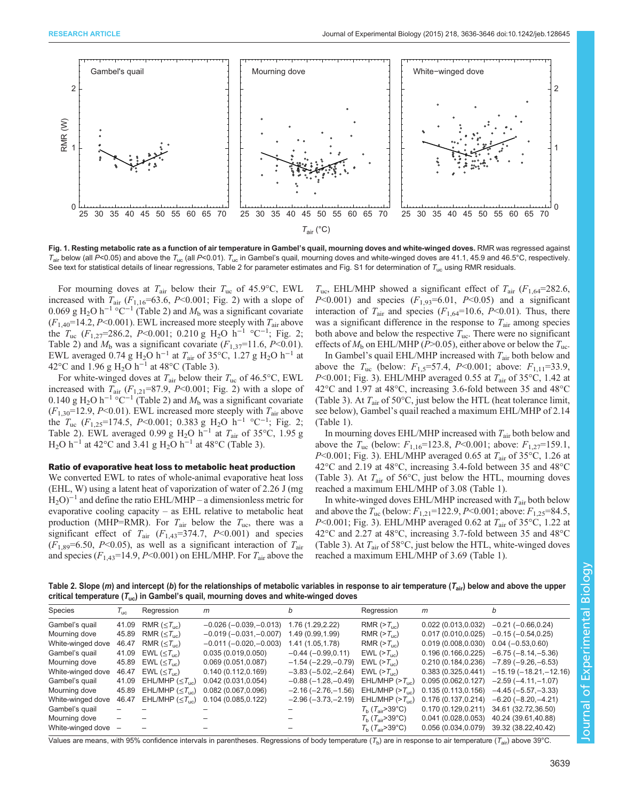<span id="page-3-0"></span>

Fig. 1. Resting metabolic rate as a function of air temperature in Gambel's quail, mourning doves and white-winged doves. RMR was regressed against  $T_{\text{air}}$  below (all P<0.05) and above the  $T_{\text{uc}}$  (all P<0.01).  $T_{\text{uc}}$  in Gambel's quail, mourning doves and white-winged doves are 41.1, 45.9 and 46.5°C, respectively. See text for statistical details of linear regressions, Table 2 for parameter estimates and [Fig. S1](http://jeb.biologists.org/lookup/suppl/doi:10.1242/jeb.128645/-/DC1) for determination of  $T_{\text{uc}}$  using RMR residuals.

For mourning doves at  $T_{\text{air}}$  below their  $T_{\text{uc}}$  of 45.9°C, EWL increased with  $T_{\text{air}}$  ( $F_{1,16}$ =63.6, P<0.001; [Fig. 2](#page-4-0)) with a slope of 0.069 g H<sub>2</sub>O h<sup>-1</sup> °C<sup>-1</sup> (Table 2) and  $M<sub>b</sub>$  was a significant covariate  $(F_{1,40}$ =14.2, P<0.001). EWL increased more steeply with  $T_{\text{air}}$  above the  $T_{\text{uc}}$  (F<sub>1,27</sub>=286.2, P<0.001; 0.210 g H<sub>2</sub>O h<sup>-1</sup> °C<sup>-1</sup>; [Fig. 2](#page-4-0); Table 2) and  $M<sub>b</sub>$  was a significant covariate ( $F<sub>1,37</sub>=11.6$ ,  $P<0.01$ ). EWL averaged 0.74 g H<sub>2</sub>O h<sup>-1</sup> at  $T_{\text{air}}$  of 35°C, 1.27 g H<sub>2</sub>O h<sup>-1</sup> at 42°C and 1.96 g H<sub>2</sub>O h<sup>-1</sup> at 48°C [\(Table 3\)](#page-4-0).

For white-winged doves at  $T_{\text{air}}$  below their  $T_{\text{uc}}$  of 46.5°C, EWL increased with  $T_{\text{air}}$  ( $F_{1,21}$ =87.9, P<0.001; [Fig. 2](#page-4-0)) with a slope of 0.140 g H<sub>2</sub>O h<sup>-1</sup> °C<sup>-1</sup> (Table 2) and  $M_b$  was a significant covariate  $(F_{1,30}$ =12.9, P<0.01). EWL increased more steeply with  $T_{\text{air}}$  above the  $T_{\text{uc}}$  (F<sub>1,25</sub>=174.5, P<0.001; 0.383 g H<sub>2</sub>O h<sup>-1</sup> °C<sup>-1</sup>; [Fig. 2](#page-4-0); Table 2). EWL averaged 0.99 g H<sub>2</sub>O h<sup>-1</sup> at  $T_{\text{air}}$  of 35°C, 1.95 g H<sub>2</sub>O h<sup>-1</sup> at 42°C and 3.41 g H<sub>2</sub>O h<sup>-1</sup> at 48°C [\(Table 3\)](#page-4-0).

# Ratio of evaporative heat loss to metabolic heat production

We converted EWL to rates of whole-animal evaporative heat loss (EHL, W) using a latent heat of vaporization of water of 2.26 J (mg  $H_2O$ <sup>-1</sup> and define the ratio EHL/MHP – a dimensionless metric for evaporative cooling capacity – as EHL relative to metabolic heat production (MHP=RMR). For  $T_{\text{air}}$  below the  $T_{\text{uc}}$ , there was a significant effect of  $T_{\text{air}}$  ( $F_{1,43}$ =374.7,  $P$ <0.001) and species  $(F_{1,89}=6.50, P<0.05)$ , as well as a significant interaction of  $T_{\text{air}}$ and species  $(F_{1,43}=14.9, P<0.001)$  on EHL/MHP. For  $T_{\text{air}}$  above the

 $T_{\text{uc}}$ , EHL/MHP showed a significant effect of  $T_{\text{air}}$  ( $F_{1.64}$ =282.6,  $P<0.001$ ) and species  $(F_{1,93}=6.01, P<0.05)$  and a significant interaction of  $T_{\text{air}}$  and species ( $F_{1,64}$ =10.6, P<0.01). Thus, there was a significant difference in the response to  $T_{\text{air}}$  among species both above and below the respective  $T_{\text{uc}}$ . There were no significant effects of  $M_b$  on EHL/MHP (P>0.05), either above or below the  $T_{\text{uc}}$ .

In Gambel's quail EHL/MHP increased with  $T_{air}$  both below and above the  $T_{\text{uc}}$  (below:  $F_{1,5} = 57.4$ , P<0.001; above:  $F_{1,11} = 33.9$ ,  $P<0.001$ ; [Fig. 3](#page-5-0)). EHL/MHP averaged 0.55 at  $T_{\text{air}}$  of 35°C, 1.42 at 42°C and 1.97 at 48°C, increasing 3.6-fold between 35 and 48°C [\(Table 3](#page-4-0)). At  $T_{\text{air}}$  of 50°C, just below the HTL (heat tolerance limit, see below), Gambel's quail reached a maximum EHL/MHP of 2.14 [\(Table 1\)](#page-2-0).

In mourning doves EHL/MHP increased with  $T_{air}$  both below and above the  $T_{\text{uc}}$  (below:  $F_{1,16}$ =123.8, P<0.001; above:  $F_{1,27}$ =159.1, P<0.001; [Fig. 3](#page-5-0)). EHL/MHP averaged 0.65 at  $T_{\text{air}}$  of 35°C, 1.26 at 42°C and 2.19 at 48°C, increasing 3.4-fold between 35 and 48°C [\(Table 3\)](#page-4-0). At  $T_{\text{air}}$  of 56 $\textdegree$ C, just below the HTL, mourning doves reached a maximum EHL/MHP of 3.08 ([Table 1\)](#page-2-0).

In white-winged doves EHL/MHP increased with  $T_{\text{air}}$  both below and above the  $T_{\text{uc}}$  (below:  $F_{1,21}$ =122.9, P<0.001; above:  $F_{1,25}$ =84.5, P<0.001; [Fig. 3](#page-5-0)). EHL/MHP averaged 0.62 at  $T_{\text{air}}$  of 35°C, 1.22 at 42°C and 2.27 at 48°C, increasing 3.7-fold between 35 and 48°C [\(Table 3](#page-4-0)). At  $T_{\text{air}}$  of 58°C, just below the HTL, white-winged doves reached a maximum EHL/MHP of 3.69 ([Table 1\)](#page-2-0).

Table 2. Slope (*m*) and intercept (*b*) for the relationships of metabolic variables in response to air temperature ( $T_{air}$ ) below and above the upper critical temperature ( $T_{uc}$ ) in Gambel's quail, mourning doves and white-winged doves

| Species           | $T_{\rm uc}$ | Regression                       | m                       | b                    | Regression                           | m                                         | b                                         |
|-------------------|--------------|----------------------------------|-------------------------|----------------------|--------------------------------------|-------------------------------------------|-------------------------------------------|
| Gambel's quail    | 41.09        | RMR ( $\leq T_{\text{inc}}$ )    | $-0.026(-0.039,-0.013)$ | 1.76 (1.29,2.22)     | RMR $(>T_{\text{inc}})$              | 0.022(0.013, 0.032)                       | $-0.21(-0.66, 0.24)$                      |
| Mourning dove     | 45.89        | RMR ( $\leq T_{\text{uc}}$ )     | $-0.019(-0.031,-0.007)$ | 1.49 (0.99,1.99)     | RMR $(>T_{\text{inc}})$              | 0.017(0.010, 0.025)                       | $-0.15(-0.54, 0.25)$                      |
| White-winged dove | 46.47        | RMR ( $\leq T_{\text{uc}}$ )     | $-0.011(-0.020,-0.003)$ | 1.41 (1.05,1.78)     | RMR $(>T_{\text{inc}})$              | $0.019(0.008, 0.030)$ $0.04(-0.53, 0.60)$ |                                           |
| Gambel's quail    | 41.09        | EWL ( $\leq T_{\text{uc}}$ )     | 0.035(0.019, 0.050)     | $-0.44(-0.99, 0.11)$ | EWL $(>T_{\text{inc}})$              | 0.196(0.166, 0.225)                       | $-6.75(-8.14,-5.36)$                      |
| Mourning dove     | 45.89        | EWL ( $\leq T_{\text{uc}}$ )     | 0.069(0.051, 0.087)     | $-1.54(-2.29,-0.79)$ | $EWL$ ( $>T_{\text{inc}}$ )          |                                           | $0.210(0.184, 0.236) -7.89(-9.26, -6.53)$ |
| White-winged dove | 46.47        | EWL ( $\leq T_{\text{uc}}$ )     | 0.140(0.112, 0.169)     | $-3.83(-5.02,-2.64)$ | $EWL \left( > T_{\text{uc}} \right)$ | 0.383(0.325.0.441)                        | $-15.19(-18.21,-12.16)$                   |
| Gambel's quail    | 41.09        | EHL/MHP ( $\leq T_{\text{uc}}$ ) | 0.042(0.031, 0.054)     | $-0.88(-1.28,-0.49)$ | $EHL/MHP (>T_{\dots})$               | 0.095(0.062, 0.127)                       | $-2.59(-4.11,-1.07)$                      |
| Mourning dove     | 45.89        | EHL/MHP ( $\leq T_{\text{uc}}$ ) | 0.082(0.067, 0.096)     | $-2.16(-2.76,-1.56)$ | $EHL/MHP (>T_{\text{loc}})$          | 0.135(0.113.0.156)                        | $-4.45(-5.57,-3.33)$                      |
| White-winged dove | 46.47        | EHL/MHP $(\leq T_{\text{uc}})$   | 0.104 (0.085.0.122)     | $-2.96(-3.73,-2.19)$ | EHL/MHP $(>T_{\text{inc}})$          | 0.176(0.137, 0.214)                       | $-6.20$ ( $-8.20$ , $-4.21$ )             |
| Gambel's quail    |              |                                  |                         |                      | $T_{\rm h}$ ( $T_{\rm air}$ >39°C)   | 0.170 (0.129, 0.211) 34.61 (32.72, 36.50) |                                           |
| Mourning dove     |              |                                  |                         |                      | $T_{\rm h}$ ( $T_{\rm air}$ >39°C)   | 0.041(0.028, 0.053)                       | 40.24 (39.61,40.88)                       |
| White-winged dove | -            |                                  |                         |                      | $T_{\rm h}$ ( $T_{\rm air}$ >39°C)   | 0.056(0.034.0.079)                        | 39.32 (38.22.40.42)                       |

Values are means, with 95% confidence intervals in parentheses. Regressions of body temperature  $(T_{\rm b})$  are in response to air temperature  $(T_{\rm air})$  above 39°C.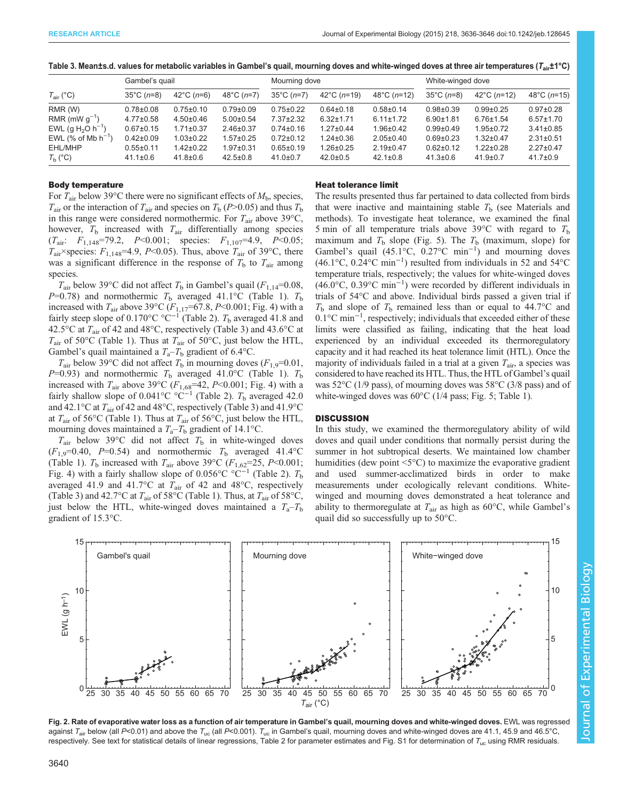|                         | Gambel's quail       |                 |                 | Mourning dove   |                 |                 | White-winged dove    |                 |                 |
|-------------------------|----------------------|-----------------|-----------------|-----------------|-----------------|-----------------|----------------------|-----------------|-----------------|
| $T_{\text{air}}$ (°C)   | $35^{\circ}$ C (n=8) | 42°C ( $n=6$ )  | 48°C ( $n=7$ )  | 35°C ( $n=7$ )  | 42°C ( $n=19$ ) | 48°C ( $n=12$ ) | $35^{\circ}$ C (n=8) | 42°C ( $n=12$ ) | 48°C ( $n=15$ ) |
| RMR (W)                 | $0.78 \pm 0.08$      | $0.75 \pm 0.10$ | $0.79 + 0.09$   | $0.75 \pm 0.22$ | $0.64 \pm 0.18$ | $0.58 + 0.14$   | $0.98 + 0.39$        | $0.99 + 0.25$   | $0.97 \pm 0.28$ |
| RMR (mW $g^{-1}$ )      | $4.77 \pm 0.58$      | $4.50 \pm 0.46$ | $5.00 \pm 0.54$ | $7.37 \pm 2.32$ | $6.32 \pm 1.71$ | $6.11 \pm 1.72$ | $6.90 \pm 1.81$      | $6.76 \pm 1.54$ | $6.57 \pm 1.70$ |
| EWL (g $H_2O(h^{-1})$   | $0.67 \pm 0.15$      | $.71 \pm 0.37$  | $2.46 \pm 0.37$ | $0.74 \pm 0.16$ | $1.27 \pm 0.44$ | $1.96 \pm 0.42$ | $0.99 + 0.49$        | $1.95 \pm 0.72$ | $3.41 \pm 0.85$ |
| EWL (% of Mb $h^{-1}$ ) | $0.42 \pm 0.09$      | $1.03 \pm 0.22$ | $1.57 \pm 0.25$ | $0.72 \pm 0.12$ | $1.24 \pm 0.36$ | $2.05 \pm 0.40$ | $0.69 + 0.23$        | $1.32 \pm 0.47$ | $2.31 \pm 0.51$ |
| EHL/MHP                 | $0.55 \pm 0.11$      | 1.42±0.22       | $1.97 + 0.31$   | $0.65 \pm 0.19$ | $1.26 \pm 0.25$ | $2.19 \pm 0.47$ | $0.62 \pm 0.12$      | $1.22 \pm 0.28$ | $2.27 \pm 0.47$ |
| $T_{\rm h}$ (°C)        | $41.1 \pm 0.6$       | $41.8 \pm 0.6$  | $42.5 \pm 0.8$  | $41.0 \pm 0.7$  | $42.0 \pm 0.5$  | $42.1 \pm 0.8$  | $41.3 \pm 0.6$       | $41.9 \pm 0.7$  | $41.7 \pm 0.9$  |

<span id="page-4-0"></span>

# Body temperature

For  $T_{\text{air}}$  below 39°C there were no significant effects of  $M_{\text{b}}$ , species,  $T_{\text{air}}$  or the interaction of  $T_{\text{air}}$  and species on  $T_{\text{b}}$  (P>0.05) and thus  $T_{\text{b}}$ in this range were considered normothermic. For  $T_{\text{air}}$  above 39 $\text{°C}$ , however,  $T_b$  increased with  $T_{air}$  differentially among species  $(T_{\text{air}}$ :  $F_{1,148}$ =79.2,  $P$ <0.001; species:  $F_{1,107}$ =4.9,  $P$ <0.05;  $T_{\text{air}}$ ×species:  $F_{1,148}$ =4.9, P<0.05). Thus, above  $T_{\text{air}}$  of 39°C, there was a significant difference in the response of  $T<sub>b</sub>$  to  $T<sub>air</sub>$  among species.

 $T_{\text{air}}$  below 39°C did not affect  $T_{\text{b}}$  in Gambel's quail ( $F_{1,14}=0.08$ ,  $P=0.78$ ) and normothermic  $T<sub>b</sub>$  averaged 41.1°C [\(Table 1\)](#page-2-0).  $T<sub>b</sub>$ increased with  $T_{\text{air}}$  above 39°C ( $F_{1,17}$ =67.8, P<0.001; [Fig. 4\)](#page-5-0) with a fairly steep slope of  $0.170^{\circ}$ C °C<sup>−1</sup> [\(Table 2\)](#page-3-0).  $T_b$  averaged 41.8 and 42.5 $\rm{^{\circ}C}$  at  $T_{\rm air}$  of 42 and 48 $\rm{^{\circ}C}$ , respectively (Table 3) and 43.6 $\rm{^{\circ}C}$  at  $T_{\text{air}}$  of 50°C [\(Table 1\)](#page-2-0). Thus at  $T_{\text{air}}$  of 50°C, just below the HTL, Gambel's quail maintained a  $T_a - T_b$  gradient of 6.4°C.

 $T_{\text{air}}$  below 39°C did not affect  $T_b$  in mourning doves ( $F_{1,9}=0.01$ ,  $P=0.93$ ) and normothermic  $T<sub>b</sub>$  averaged 41.0°C [\(Table 1\)](#page-2-0).  $T<sub>b</sub>$ increased with  $T_{\text{air}}$  above 39°C ( $F_{1,68}$ =42, P<0.001; [Fig. 4](#page-5-0)) with a fairly shallow slope of 0.041°C °C<sup>-1</sup> [\(Table 2](#page-3-0)). T<sub>b</sub> averaged 42.0 and 42.1°C at  $T_{\text{air}}$  of 42 and 48°C, respectively (Table 3) and 41.9°C at  $T_{\text{air}}$  of 56°C [\(Table 1\)](#page-2-0). Thus at  $T_{\text{air}}$  of 56°C, just below the HTL, mourning doves maintained a  $T_a - T_b$  gradient of 14.1°C.

 $T_{\text{air}}$  below 39°C did not affect  $T_b$  in white-winged doves  $(F<sub>1.9</sub>=0.40, P=0.54)$  and normothermic  $T<sub>b</sub>$  averaged 41.4°C [\(Table 1](#page-2-0)).  $T<sub>b</sub>$  increased with  $T<sub>air</sub>$  above 39°C ( $F<sub>1,62</sub>=25$ ,  $P<0.001$ ; [Fig. 4\)](#page-5-0) with a fairly shallow slope of 0.056°C °C<sup>-1</sup> [\(Table 2\)](#page-3-0).  $T<sub>b</sub>$ averaged 41.9 and 41.7°C at  $T_{\text{air}}$  of 42 and 48°C, respectively (Table 3) and 42.7°C at  $T_{\text{air}}$  of 58°C [\(Table 1](#page-2-0)). Thus, at  $T_{\text{air}}$  of 58°C, just below the HTL, white-winged doves maintained a  $T_a - T_b$ gradient of 15.3°C.

## Heat tolerance limit

The results presented thus far pertained to data collected from birds that were inactive and maintaining stable  $T<sub>b</sub>$  (see Materials and methods). To investigate heat tolerance, we examined the final 5 min of all temperature trials above 39 $\degree$ C with regard to  $T_b$ maximum and  $T_b$  slope ([Fig. 5](#page-6-0)). The  $T_b$  (maximum, slope) for Gambel's quail (45.1°C, 0.27°C min−<sup>1</sup> ) and mourning doves (46.1°C, 0.24°C min−<sup>1</sup> ) resulted from individuals in 52 and 54°C temperature trials, respectively; the values for white-winged doves (46.0°C, 0.39°C min−<sup>1</sup> ) were recorded by different individuals in trials of 54°C and above. Individual birds passed a given trial if  $T<sub>b</sub>$  and slope of  $T<sub>b</sub>$  remained less than or equal to 44.7°C and 0.1°C min<sup>-1</sup>, respectively; individuals that exceeded either of these limits were classified as failing, indicating that the heat load experienced by an individual exceeded its thermoregulatory capacity and it had reached its heat tolerance limit (HTL). Once the majority of individuals failed in a trial at a given  $T_{\text{air}}$ , a species was considered to have reached its HTL. Thus, the HTL of Gambel's quail was 52°C (1/9 pass), of mourning doves was 58°C (3/8 pass) and of white-winged doves was  $60^{\circ}$ C (1/4 pass; [Fig. 5](#page-6-0); [Table 1\)](#page-2-0).

# **DISCUSSION**

In this study, we examined the thermoregulatory ability of wild doves and quail under conditions that normally persist during the summer in hot subtropical deserts. We maintained low chamber humidities (dew point  $\leq 5^{\circ}$ C) to maximize the evaporative gradient and used summer-acclimatized birds in order to make measurements under ecologically relevant conditions. Whitewinged and mourning doves demonstrated a heat tolerance and ability to thermoregulate at  $T_{\text{air}}$  as high as 60°C, while Gambel's quail did so successfully up to 50°C.



Fig. 2. Rate of evaporative water loss as a function of air temperature in Gambel's quail, mourning doves and white-winged doves. EWL was regressed against T<sub>air</sub> below (all P<0.01) and above the T<sub>uc</sub> (all P<0.001). T<sub>uc</sub> in Gambel's quail, mourning doves and white-winged doves are 41.1, 45.9 and 46.5°C, respectively. See text for statistical details of linear regressions, [Table 2](#page-3-0) for parameter estimates and [Fig. S1](http://jeb.biologists.org/lookup/suppl/doi:10.1242/jeb.128645/-/DC1) for determination of  $T_{\text{uc}}$  using RMR residuals.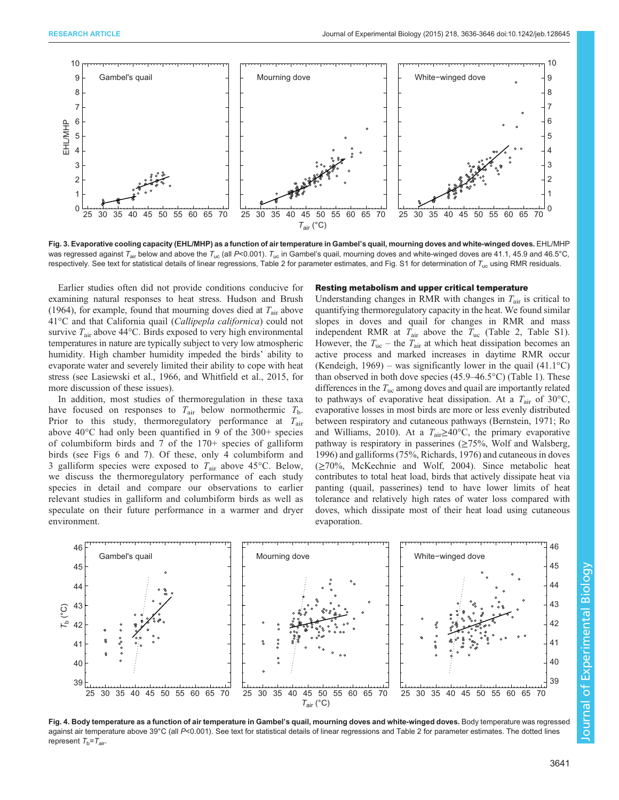<span id="page-5-0"></span>

Fig. 3. Evaporative cooling capacity (EHL/MHP) as a function of air temperature in Gambel's quail, mourning doves and white-winged doves. EHL/MHP was regressed against T<sub>air</sub> below and above the T<sub>uc</sub> (all P<0.001). T<sub>uc</sub> in Gambel's quail, mourning doves and white-winged doves are 41.1, 45.9 and 46.5°C, respectively. See text for statistical details of linear regressions, [Table 2](#page-3-0) for parameter estimates, and [Fig. S1](http://jeb.biologists.org/lookup/suppl/doi:10.1242/jeb.128645/-/DC1) for determination of  $T_{\text{uc}}$  using RMR residuals.

Earlier studies often did not provide conditions conducive for examining natural responses to heat stress. [Hudson and Brush](#page-9-0) [\(1964\)](#page-9-0), for example, found that mourning doves died at  $T_{\text{air}}$  above 41°C and that California quail (Callipepla californica) could not survive  $T_{\text{air}}$  above 44 $\textdegree$ C. Birds exposed to very high environmental temperatures in nature are typically subject to very low atmospheric humidity. High chamber humidity impeded the birds' ability to evaporate water and severely limited their ability to cope with heat stress (see [Lasiewski et al., 1966](#page-9-0), and [Whitfield et al., 2015](#page-10-0), for more discussion of these issues).

In addition, most studies of thermoregulation in these taxa have focused on responses to  $T_{\text{air}}$  below normothermic  $T_{\text{b}}$ . Prior to this study, thermoregulatory performance at  $T_{\text{air}}$ above 40°C had only been quantified in 9 of the 300+ species of columbiform birds and 7 of the 170+ species of galliform birds (see [Figs 6](#page-6-0) and [7](#page-7-0)). Of these, only 4 columbiform and 3 galliform species were exposed to  $T_{\text{air}}$  above 45°C. Below, we discuss the thermoregulatory performance of each study species in detail and compare our observations to earlier relevant studies in galliform and columbiform birds as well as speculate on their future performance in a warmer and dryer environment.

#### Resting metabolism and upper critical temperature

Understanding changes in RMR with changes in  $T_{\text{air}}$  is critical to quantifying thermoregulatory capacity in the heat. We found similar slopes in doves and quail for changes in RMR and mass independent RMR at  $T_{\text{air}}$  above the  $T_{\text{uc}}$  [\(Table 2](#page-3-0), [Table S1\)](http://jeb.biologists.org/lookup/suppl/doi:10.1242/jeb.128645/-/DC1). However, the  $T_{\text{uc}}$  – the  $T_{\text{air}}$  at which heat dissipation becomes an active process and marked increases in daytime RMR occur [\(Kendeigh, 1969\)](#page-9-0) – was significantly lower in the quail  $(41.1^{\circ}C)$ than observed in both dove species (45.9–46.5°C) [\(Table 1\)](#page-2-0). These differences in the  $T_{\text{uc}}$  among doves and quail are importantly related to pathways of evaporative heat dissipation. At a  $T_{\text{air}}$  of 30°C, evaporative losses in most birds are more or less evenly distributed between respiratory and cutaneous pathways [\(Bernstein, 1971;](#page-9-0) [Ro](#page-10-0) [and Williams, 2010\)](#page-10-0). At a  $T_{\text{air}} \ge 40^{\circ}\text{C}$ , the primary evaporative pathway is respiratory in passerines  $(\geq 75\%$ , [Wolf and Walsberg,](#page-10-0) [1996\)](#page-10-0) and galliforms (75%, [Richards, 1976](#page-10-0)) and cutaneous in doves (≥70%, [McKechnie and Wolf, 2004](#page-10-0)). Since metabolic heat contributes to total heat load, birds that actively dissipate heat via panting (quail, passerines) tend to have lower limits of heat tolerance and relatively high rates of water loss compared with doves, which dissipate most of their heat load using cutaneous evaporation.



Fig. 4. Body temperature as a function of air temperature in Gambel's quail, mourning doves and white-winged doves. Body temperature was regressed against air temperature above 39°C (all P<0.001). See text for statistical details of linear regressions and [Table 2](#page-3-0) for parameter estimates. The dotted lines represent  $T_b = T_{air}$ .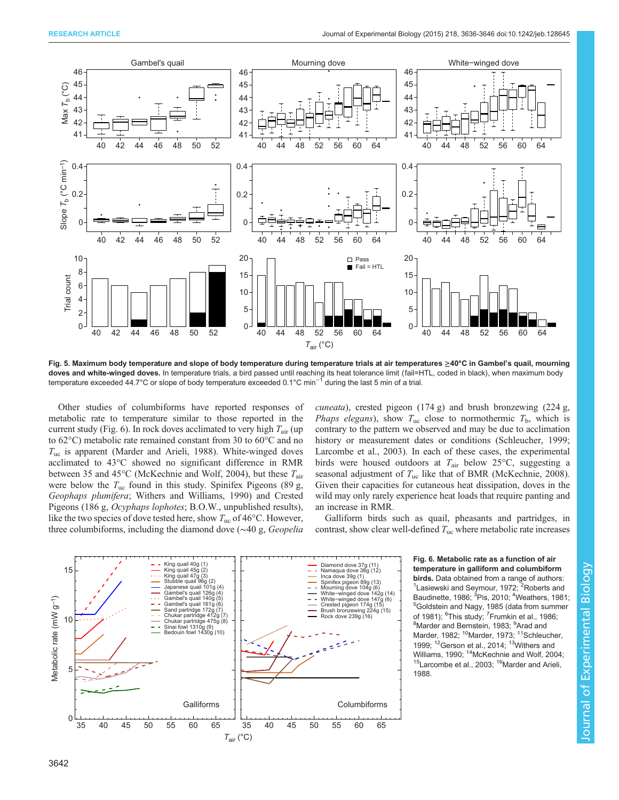<span id="page-6-0"></span>

Fig. 5. Maximum body temperature and slope of body temperature during temperature trials at air temperatures ≥40°C in Gambel's quail, mourning doves and white-winged doves. In temperature trials, a bird passed until reaching its heat tolerance limit (fail=HTL, coded in black), when maximum body temperature exceeded 44.7°C or slope of body temperature exceeded 0.1°C min−<sup>1</sup> during the last 5 min of a trial.

Other studies of columbiforms have reported responses of metabolic rate to temperature similar to those reported in the current study (Fig. 6). In rock doves acclimated to very high  $T_{air}$  (up to 62°C) metabolic rate remained constant from 30 to 60°C and no  $T_{\text{uc}}$  is apparent [\(Marder and Arieli, 1988\)](#page-9-0). White-winged doves acclimated to 43°C showed no significant difference in RMR between 35 and 45 $^{\circ}$ C [\(McKechnie and Wolf, 2004](#page-10-0)), but these  $T_{\text{air}}$ were below the  $T_{\text{uc}}$  found in this study. Spinifex Pigeons (89 g, Geophaps plumifera; [Withers and Williams, 1990](#page-10-0)) and Crested Pigeons (186 g, Ocyphaps lophotes; B.O.W., unpublished results), like the two species of dove tested here, show  $T_{\text{uc}}$  of 46 $\textdegree$ C. However, three columbiforms, including the diamond dove (∼40 g, Geopelia

cuneata), crested pigeon (174 g) and brush bronzewing (224 g, *Phaps elegans*), show  $T_{\text{uc}}$  close to normothermic  $T_{\text{b}}$ , which is contrary to the pattern we observed and may be due to acclimation history or measurement dates or conditions [\(Schleucher, 1999](#page-10-0); [Larcombe et al., 2003](#page-9-0)). In each of these cases, the experimental birds were housed outdoors at  $T_{\text{air}}$  below 25°C, suggesting a seasonal adjustment of  $T_{\text{uc}}$  like that of BMR ([McKechnie, 2008\)](#page-10-0). Given their capacities for cutaneous heat dissipation, doves in the wild may only rarely experience heat loads that require panting and an increase in RMR.

Galliform birds such as quail, pheasants and partridges, in contrast, show clear well-defined  $T_{\text{uc}}$  where metabolic rate increases



Fig. 6. Metabolic rate as a function of air temperature in galliform and columbiform birds. Data obtained from a range of authors: [Lasiewski and Seymour, 1972](#page-9-0); <sup>2</sup>[Roberts and](#page-10-0) [Baudinette, 1986;](#page-10-0) <sup>3</sup>[Pis, 2010;](#page-10-0) <sup>4</sup>[Weathers, 1981;](#page-10-0)<br><sup>5</sup>Goldstein and Nagy, 1985 (data from summer <sup>5</sup>[Goldstein and Nagy, 1985](#page-9-0) (data from summer of 1981); <sup>6</sup>This study; <sup>7</sup>[Frumkin et al., 1986](#page-9-0);<br><sup>8</sup>Marder and Bernstein, 1983; <sup>9</sup>Ared and [Marder and Bernstein, 1983;](#page-9-0) <sup>9</sup>[Arad and](#page-9-0) [Marder, 1982;](#page-9-0) <sup>10</sup>Marder, 1973; <sup>11</sup>[Schleucher,](#page-10-0) [1999](#page-10-0);  $12$ [Gerson et al., 2014](#page-9-0);  $13$ Withers and [Williams, 1990](#page-10-0); <sup>14</sup>McKechnie and Wolf, 2004;<br><sup>15</sup>Larcombe et al., 2003; <sup>16</sup>Marder and Arieli, [1988](#page-9-0).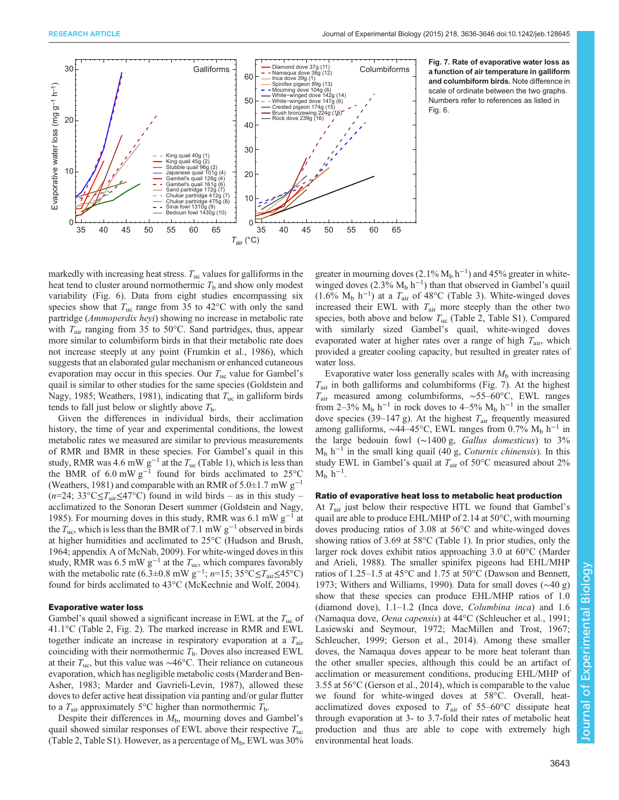<span id="page-7-0"></span>



markedly with increasing heat stress.  $T_{uc}$  values for galliforms in the heat tend to cluster around normothermic  $T<sub>b</sub>$  and show only modest variability ([Fig. 6](#page-6-0)). Data from eight studies encompassing six species show that  $T_{\text{uc}}$  range from 35 to 42 $\textdegree$ C with only the sand partridge (Ammoperdix heyi) showing no increase in metabolic rate with  $T_{\text{air}}$  ranging from 35 to 50°C. Sand partridges, thus, appear more similar to columbiform birds in that their metabolic rate does not increase steeply at any point [\(Frumkin et al., 1986](#page-9-0)), which suggests that an elaborated gular mechanism or enhanced cutaneous evaporation may occur in this species. Our  $T_{\text{uc}}$  value for Gambel's quail is similar to other studies for the same species [\(Goldstein and](#page-9-0) [Nagy, 1985](#page-9-0); [Weathers, 1981\)](#page-10-0), indicating that  $T_{uc}$  in galliform birds tends to fall just below or slightly above  $T<sub>b</sub>$ .

Given the differences in individual birds, their acclimation history, the time of year and experimental conditions, the lowest metabolic rates we measured are similar to previous measurements of RMR and BMR in these species. For Gambel's quail in this study, RMR was 4.6 mW  $g^{-1}$  at the  $T_{uc}$  [\(Table 1](#page-2-0)), which is less than the BMR of 6.0 mW g−<sup>1</sup> found for birds acclimated to 25°C [\(Weathers, 1981](#page-10-0)) and comparable with an RMR of 5.0±1.7 mW  $g^{-1}$ (n=24; 33°C≤T<sub>air</sub>≤47°C) found in wild birds – as in this study – acclimatized to the Sonoran Desert summer [\(Goldstein and Nagy,](#page-9-0) [1985](#page-9-0)). For mourning doves in this study, RMR was 6.1 mW  $g^{-1}$  at the  $T_{\text{uc}}$ , which is less than the BMR of 7.1 mW g<sup>-1</sup> observed in birds at higher humidities and acclimated to 25°C [\(Hudson and Brush,](#page-9-0) [1964](#page-9-0); appendix A of [McNab, 2009\)](#page-10-0). For white-winged doves in this study, RMR was 6.5 mW  $g^{-1}$  at the  $T_{uc}$ , which compares favorably with the metabolic rate (6.3±0.8 mW g<sup>-1</sup>;  $n=15$ ; 35°C $\leq T_{\text{air}} \leq 45$ °C) found for birds acclimated to 43°C [\(McKechnie and Wolf, 2004](#page-10-0)).

#### Evaporative water loss

Gambel's quail showed a significant increase in EWL at the  $T_{\text{uc}}$  of 41.1°C ([Table 2,](#page-3-0) [Fig. 2\)](#page-4-0). The marked increase in RMR and EWL together indicate an increase in respiratory evaporation at a  $T_{\text{air}}$ coinciding with their normothermic  $T<sub>b</sub>$ . Doves also increased EWL at their  $T_{\text{uc}}$ , but this value was ~46°C. Their reliance on cutaneous evaporation, which has negligible metabolic costs [\(Marder and Ben-](#page-9-0)[Asher, 1983; Marder and Gavrieli-Levin, 1987](#page-9-0)), allowed these doves to defer active heat dissipation via panting and/or gular flutter to a  $T_{\text{air}}$  approximately 5°C higher than normothermic  $T_{\text{b}}$ .

Despite their differences in  $M<sub>b</sub>$ , mourning doves and Gambel's quail showed similar responses of EWL above their respective  $T_{uc}$ [\(Table 2,](#page-3-0) [Table S1\)](http://jeb.biologists.org/lookup/suppl/doi:10.1242/jeb.128645/-/DC1). However, as a percentage of  $M_b$ , EWL was 30%

greater in mourning doves (2.1%  $M_b$  h<sup>-1</sup>) and 45% greater in whitewinged doves  $(2.3\% \text{ M}_b \text{ h}^{-1})$  than that observed in Gambel's quail (1.6%  $M_b$  h<sup>-1</sup>) at a  $T_{air}$  of 48°C ([Table 3\)](#page-4-0). White-winged doves increased their EWL with  $T_{\text{air}}$  more steeply than the other two species, both above and below  $T_{\text{uc}}$  ([Table 2,](#page-3-0) [Table S1\)](http://jeb.biologists.org/lookup/suppl/doi:10.1242/jeb.128645/-/DC1). Compared with similarly sized Gambel's quail, white-winged doves evaporated water at higher rates over a range of high  $T_{\text{air}}$ , which provided a greater cooling capacity, but resulted in greater rates of water loss.

Evaporative water loss generally scales with  $M<sub>b</sub>$  with increasing  $T_{\text{air}}$  in both galliforms and columbiforms (Fig. 7). At the highest  $T_{\text{air}}$  measured among columbiforms, ~55–60°C, EWL ranges from 2–3%  $M_b$  h<sup>-1</sup> in rock doves to 4–5%  $M_b$  h<sup>-1</sup> in the smaller dove species (39–147 g). At the highest  $T_{\text{air}}$  frequently measured among galliforms,  $\sim$ 44–45°C, EWL ranges from 0.7% M<sub>b</sub> h<sup>-1</sup> in the large bedouin fowl (∼1400 g, Gallus domesticus) to 3%  $M<sub>b</sub> h<sup>-1</sup>$  in the small king quail (40 g, *Coturnix chinensis*). In this study EWL in Gambel's quail at  $T_{\text{air}}$  of 50°C measured about 2%  $M_b$  h<sup>-1</sup>.

# Ratio of evaporative heat loss to metabolic heat production

At  $T_{\text{air}}$  just below their respective HTL we found that Gambel's quail are able to produce EHL/MHP of 2.14 at 50°C, with mourning doves producing ratios of 3.08 at 56°C and white-winged doves showing ratios of 3.69 at 58°C ([Table 1\)](#page-2-0). In prior studies, only the larger rock doves exhibit ratios approaching 3.0 at 60°C [\(Marder](#page-9-0) [and Arieli, 1988](#page-9-0)). The smaller spinifex pigeons had EHL/MHP ratios of 1.25–1.5 at 45°C and 1.75 at 50°C ([Dawson and Bennett,](#page-9-0) [1973;](#page-9-0) [Withers and Williams, 1990](#page-10-0)). Data for small doves (∼40 g) show that these species can produce EHL/MHP ratios of 1.0 (diamond dove), 1.1–1.2 (Inca dove, Columbina inca) and 1.6 (Namaqua dove, Oena capensis) at 44°C ([Schleucher et al., 1991](#page-10-0); [Lasiewski and Seymour, 1972; MacMillen and Trost, 1967](#page-9-0); [Schleucher, 1999](#page-10-0); [Gerson et al., 2014\)](#page-9-0). Among these smaller doves, the Namaqua doves appear to be more heat tolerant than the other smaller species, although this could be an artifact of acclimation or measurement conditions, producing EHL/MHP of 3.55 at 56°C ([Gerson et al., 2014](#page-9-0)), which is comparable to the value we found for white-winged doves at 58°C. Overall, heatacclimatized doves exposed to  $T_{\text{air}}$  of 55–60°C dissipate heat through evaporation at 3- to 3.7-fold their rates of metabolic heat production and thus are able to cope with extremely high environmental heat loads.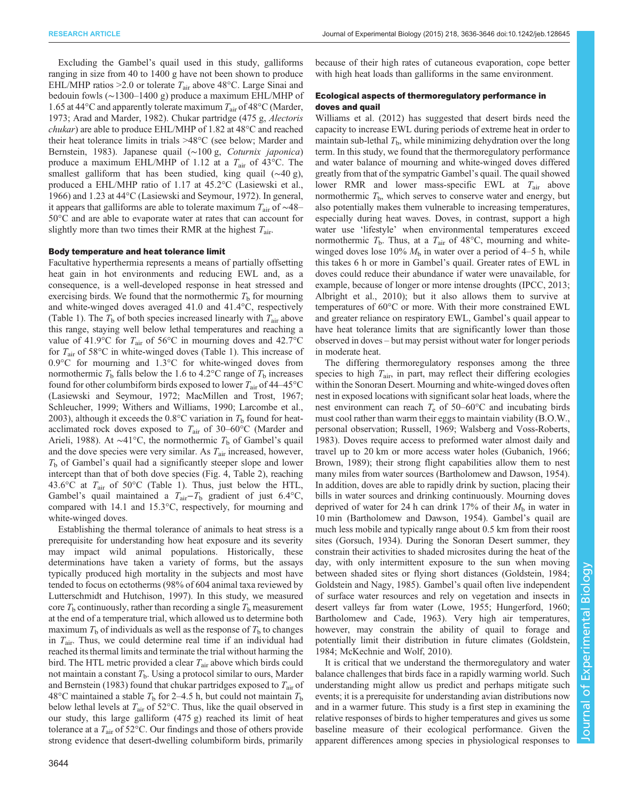Excluding the Gambel's quail used in this study, galliforms ranging in size from 40 to 1400 g have not been shown to produce EHL/MHP ratios > 2.0 or tolerate  $T_{\text{air}}$  above 48°C. Large Sinai and bedouin fowls (∼1300–1400 g) produce a maximum EHL/MHP of 1.65 at 44 $\rm ^{\circ}C$  and apparently tolerate maximum  $T_{\rm air}$  of 48 $\rm ^{\circ}C$  ([Marder,](#page-9-0) [1973](#page-9-0); [Arad and Marder, 1982\)](#page-9-0). Chukar partridge (475 g, Alectoris chukar) are able to produce EHL/MHP of 1.82 at 48°C and reached their heat tolerance limits in trials >48°C (see below; [Marder and](#page-9-0) [Bernstein, 1983\)](#page-9-0). Japanese quail (∼100 g, Coturnix japonica) produce a maximum EHL/MHP of 1.12 at a  $T_{\text{air}}$  of 43<sup>o</sup>C. The smallest galliform that has been studied, king quail (∼40 g), produced a EHL/MHP ratio of 1.17 at 45.2°C [\(Lasiewski et al.,](#page-9-0) [1966](#page-9-0)) and 1.23 at 44°C ([Lasiewski and Seymour, 1972\)](#page-9-0). In general, it appears that galliforms are able to tolerate maximum  $T_{air}$  of ~48– 50°C and are able to evaporate water at rates that can account for slightly more than two times their RMR at the highest  $T_{\text{air}}$ .

# Body temperature and heat tolerance limit

Facultative hyperthermia represents a means of partially offsetting heat gain in hot environments and reducing EWL and, as a consequence, is a well-developed response in heat stressed and exercising birds. We found that the normothermic  $T<sub>b</sub>$  for mourning and white-winged doves averaged 41.0 and 41.4°C, respectively [\(Table 1](#page-2-0)). The  $T<sub>b</sub>$  of both species increased linearly with  $T<sub>air</sub>$  above this range, staying well below lethal temperatures and reaching a value of 41.9°C for  $T_{\text{air}}$  of 56°C in mourning doves and 42.7°C for  $T_{\text{air}}$  of 58 $\textdegree$ C in white-winged doves [\(Table 1](#page-2-0)). This increase of 0.9°C for mourning and 1.3°C for white-winged doves from normothermic  $T<sub>b</sub>$  falls below the 1.6 to 4.2°C range of  $T<sub>b</sub>$  increases found for other columbiform birds exposed to lower  $T_{\text{air}}$  of 44–45°C [\(Lasiewski and Seymour, 1972; MacMillen and Trost, 1967](#page-9-0); [Schleucher, 1999; Withers and Williams, 1990;](#page-10-0) [Larcombe et al.,](#page-9-0) [2003](#page-9-0)), although it exceeds the 0.8 $\degree$ C variation in  $T<sub>b</sub>$  found for heatacclimated rock doves exposed to  $T_{\text{air}}$  of 30–60°C ([Marder and](#page-9-0) [Arieli, 1988](#page-9-0)). At ~41°C, the normothermic  $T<sub>b</sub>$  of Gambel's quail and the dove species were very similar. As  $T_{\text{air}}$  increased, however,  $T<sub>b</sub>$  of Gambel's quail had a significantly steeper slope and lower intercept than that of both dove species [\(Fig. 4,](#page-5-0) [Table 2\)](#page-3-0), reaching 43.6 $\degree$ C at  $T_{\text{air}}$  of 50 $\degree$ C ([Table 1\)](#page-2-0). Thus, just below the HTL, Gambel's quail maintained a  $T_{\text{air}}-T_{\text{b}}$  gradient of just 6.4°C, compared with 14.1 and 15.3°C, respectively, for mourning and white-winged doves.

Establishing the thermal tolerance of animals to heat stress is a prerequisite for understanding how heat exposure and its severity may impact wild animal populations. Historically, these determinations have taken a variety of forms, but the assays typically produced high mortality in the subjects and most have tended to focus on ectotherms (98% of 604 animal taxa reviewed by [Lutterschmidt and Hutchison, 1997\)](#page-9-0). In this study, we measured core  $T<sub>b</sub>$  continuously, rather than recording a single  $T<sub>b</sub>$  measurement at the end of a temperature trial, which allowed us to determine both maximum  $T<sub>b</sub>$  of individuals as well as the response of  $T<sub>b</sub>$  to changes in  $T_{\text{air}}$ . Thus, we could determine real time if an individual had reached its thermal limits and terminate the trial without harming the bird. The HTL metric provided a clear  $T_{\text{air}}$  above which birds could not maintain a constant  $T<sub>b</sub>$ . Using a protocol similar to ours, [Marder](#page-9-0) [and Bernstein \(1983\)](#page-9-0) found that chukar partridges exposed to  $T_{\text{air}}$  of 48°C maintained a stable  $T<sub>b</sub>$  for 2–4.5 h, but could not maintain  $T<sub>b</sub>$ below lethal levels at  $T_{\text{air}}$  of 52 $\textdegree$ C. Thus, like the quail observed in our study, this large galliform (475 g) reached its limit of heat tolerance at a  $T_{\text{air}}$  of 52°C. Our findings and those of others provide strong evidence that desert-dwelling columbiform birds, primarily

because of their high rates of cutaneous evaporation, cope better with high heat loads than galliforms in the same environment.

# Ecological aspects of thermoregulatory performance in doves and quail

[Williams et al. \(2012\)](#page-10-0) has suggested that desert birds need the capacity to increase EWL during periods of extreme heat in order to maintain sub-lethal  $T<sub>b</sub>$ , while minimizing dehydration over the long term. In this study, we found that the thermoregulatory performance and water balance of mourning and white-winged doves differed greatly from that of the sympatric Gambel's quail. The quail showed lower RMR and lower mass-specific EWL at  $T_{\text{air}}$  above normothermic  $T<sub>b</sub>$ , which serves to conserve water and energy, but also potentially makes them vulnerable to increasing temperatures, especially during heat waves. Doves, in contrast, support a high water use 'lifestyle' when environmental temperatures exceed normothermic  $T<sub>b</sub>$ . Thus, at a  $T<sub>air</sub>$  of 48°C, mourning and whitewinged doves lose 10%  $M<sub>b</sub>$  in water over a period of 4–5 h, while this takes 6 h or more in Gambel's quail. Greater rates of EWL in doves could reduce their abundance if water were unavailable, for example, because of longer or more intense droughts ([IPCC, 2013](#page-9-0); [Albright et al., 2010\)](#page-9-0); but it also allows them to survive at temperatures of 60°C or more. With their more constrained EWL and greater reliance on respiratory EWL, Gambel's quail appear to have heat tolerance limits that are significantly lower than those observed in doves – but may persist without water for longer periods in moderate heat.

The differing thermoregulatory responses among the three species to high  $T_{\text{air}}$ , in part, may reflect their differing ecologies within the Sonoran Desert. Mourning and white-winged doves often nest in exposed locations with significant solar heat loads, where the nest environment can reach  $T_e$  of 50–60°C and incubating birds must cool rather than warm their eggs to maintain viability (B.O.W., personal observation; [Russell, 1969](#page-10-0); [Walsberg and Voss-Roberts,](#page-10-0) [1983\)](#page-10-0). Doves require access to preformed water almost daily and travel up to 20 km or more access water holes ([Gubanich, 1966](#page-9-0); [Brown, 1989\)](#page-9-0); their strong flight capabilities allow them to nest many miles from water sources ([Bartholomew and Dawson, 1954\)](#page-9-0). In addition, doves are able to rapidly drink by suction, placing their bills in water sources and drinking continuously. Mourning doves deprived of water for 24 h can drink 17% of their  $M<sub>b</sub>$  in water in 10 min [\(Bartholomew and Dawson, 1954\)](#page-9-0). Gambel's quail are much less mobile and typically range about 0.5 km from their roost sites ([Gorsuch, 1934\)](#page-9-0). During the Sonoran Desert summer, they constrain their activities to shaded microsites during the heat of the day, with only intermittent exposure to the sun when moving between shaded sites or flying short distances ([Goldstein, 1984](#page-9-0); [Goldstein and Nagy, 1985](#page-9-0)). Gambel's quail often live independent of surface water resources and rely on vegetation and insects in desert valleys far from water ([Lowe, 1955; Hungerford, 1960](#page-9-0); [Bartholomew and Cade, 1963\)](#page-9-0). Very high air temperatures, however, may constrain the ability of quail to forage and potentially limit their distribution in future climates [\(Goldstein,](#page-9-0) [1984;](#page-9-0) [McKechnie and Wolf, 2010](#page-10-0)).

It is critical that we understand the thermoregulatory and water balance challenges that birds face in a rapidly warming world. Such understanding might allow us predict and perhaps mitigate such events; it is a prerequisite for understanding avian distributions now and in a warmer future. This study is a first step in examining the relative responses of birds to higher temperatures and gives us some baseline measure of their ecological performance. Given the apparent differences among species in physiological responses to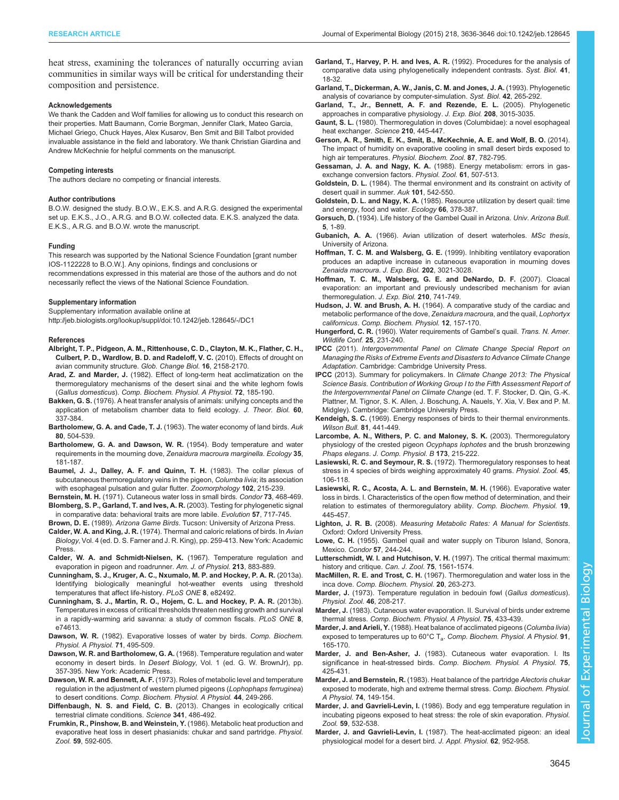<span id="page-9-0"></span>heat stress, examining the tolerances of naturally occurring avian communities in similar ways will be critical for understanding their composition and persistence.

#### Acknowledgements

We thank the Cadden and Wolf families for allowing us to conduct this research on their properties. Matt Baumann, Corrie Borgman, Jennifer Clark, Mateo Garcia, Michael Griego, Chuck Hayes, Alex Kusarov, Ben Smit and Bill Talbot provided invaluable assistance in the field and laboratory. We thank Christian Giardina and Andrew McKechnie for helpful comments on the manuscript.

#### Competing interests

The authors declare no competing or financial interests.

#### Author contributions

B.O.W. designed the study. B.O.W., E.K.S. and A.R.G. designed the experimental set up. E.K.S., J.O., A.R.G. and B.O.W. collected data. E.K.S. analyzed the data. E.K.S., A.R.G. and B.O.W. wrote the manuscript.

#### Funding

This research was supported by the National Science Foundation [grant number IOS-1122228 to B.O.W.]. Any opinions, findings and conclusions or recommendations expressed in this material are those of the authors and do not

necessarily reflect the views of the National Science Foundation.

#### Supplementary information

Supplementary information available online at

<http://jeb.biologists.org/lookup/suppl/doi:10.1242/jeb.128645/-/DC1>

#### References

- [Albright, T. P., Pidgeon, A. M., Rittenhouse, C. D., Clayton, M. K., Flather, C. H.,](http://dx.doi.org/10.1111/j.1365-2486.2009.02120.x) [Culbert, P. D., Wardlow, B. D. and Radeloff, V. C.](http://dx.doi.org/10.1111/j.1365-2486.2009.02120.x) (2010). Effects of drought on [avian community structure.](http://dx.doi.org/10.1111/j.1365-2486.2009.02120.x) Glob. Change Biol. 16, 2158-2170.
- Arad, Z. and Marder, J. [\(1982\). Effect of long-term heat acclimatization on the](http://dx.doi.org/10.1016/0300-9629(82)90030-5) [thermoregulatory mechanisms of the desert sinai and the white leghorn fowls](http://dx.doi.org/10.1016/0300-9629(82)90030-5) (Gallus domesticus). [Comp. Biochem. Physiol. A Physiol.](http://dx.doi.org/10.1016/0300-9629(82)90030-5) 72, 185-190.
- Bakken, G. S. [\(1976\). A heat transfer analysis of animals: unifying concepts and the](http://dx.doi.org/10.1016/0022-5193(76)90063-1) [application of metabolism chamber data to field ecology.](http://dx.doi.org/10.1016/0022-5193(76)90063-1) J. Theor. Biol. 60, [337-384.](http://dx.doi.org/10.1016/0022-5193(76)90063-1)
- Bartholomew, G. A. and Cade, T. J. [\(1963\). The water economy of land birds.](http://dx.doi.org/10.2307/4082856) Auk 80[, 504-539.](http://dx.doi.org/10.2307/4082856)
- [Bartholomew, G. A. and Dawson, W. R.](http://dx.doi.org/10.2307/1931115) (1954). Body temperature and water [requirements in the mourning dove,](http://dx.doi.org/10.2307/1931115) Zenaidura macroura marginella. Ecology 35, [181-187.](http://dx.doi.org/10.2307/1931115)
- [Baumel, J. J., Dalley, A. F. and Quinn, T. H.](http://dx.doi.org/10.1007/BF00310349) (1983). The collar plexus of [subcutaneous thermoregulatory veins in the pigeon,](http://dx.doi.org/10.1007/BF00310349) Columba livia; its association [with esophageal pulsation and gular flutter.](http://dx.doi.org/10.1007/BF00310349) Zoomorphology 102, 215-239.
- Bernstein, M. H. [\(1971\). Cutaneous water loss in small birds.](http://dx.doi.org/10.2307/1366669) Condor 73, 468-469. [Blomberg, S. P., Garland, T. and Ives, A. R.](http://dx.doi.org/10.1111/j.0014-3820.2003.tb00285.x) (2003). Testing for phylogenetic signal
- [in comparative data: behavioral traits are more labile.](http://dx.doi.org/10.1111/j.0014-3820.2003.tb00285.x) Evolution 57, 717-745.
- Brown, D. E. (1989). Arizona Game Birds. Tucson: University of Arizona Press. Calder, W. A. and King, J. R. (1974). Thermal and caloric relations of birds. In Avian
- Biology, Vol. 4 (ed. D. S. Farner and J. R. King), pp. 259-413. New York: Academic Press.
- Calder, W. A. and Schmidt-Nielsen, K. (1967). Temperature regulation and evaporation in pigeon and roadrunner. Am. J. of Physiol. 213, 883-889.
- [Cunningham, S. J., Kruger, A. C., Nxumalo, M. P. and Hockey, P. A. R.](http://dx.doi.org/10.1371/journal.pone.0082492) (2013a). [Identifying biologically meaningful hot-weather events using threshold](http://dx.doi.org/10.1371/journal.pone.0082492) [temperatures that affect life-history.](http://dx.doi.org/10.1371/journal.pone.0082492) PLoS ONE 8, e82492.
- [Cunningham, S. J., Martin, R. O., Hojem, C. L. and Hockey, P. A. R.](http://dx.doi.org/10.1371/journal.pone.0074613) (2013b). [Temperatures in excess of critical thresholds threaten nestling growth and survival](http://dx.doi.org/10.1371/journal.pone.0074613) [in a rapidly-warming arid savanna: a study of common fiscals.](http://dx.doi.org/10.1371/journal.pone.0074613) PLoS ONE 8, [e74613.](http://dx.doi.org/10.1371/journal.pone.0074613)
- Dawson, W. R. [\(1982\). Evaporative losses of water by birds.](http://dx.doi.org/10.1016/0300-9629(82)90198-0) Comp. Biochem. [Physiol. A Physiol.](http://dx.doi.org/10.1016/0300-9629(82)90198-0) 71, 495-509.
- Dawson, W. R. and Bartholomew, G. A. (1968). Temperature regulation and water economy in desert birds. In Desert Biology, Vol. 1 (ed. G. W. BrownJr), pp. 357-395. New York: Academic Press.
- Dawson, W. R. and Bennett, A. F. [\(1973\). Roles of metabolic level and temperature](http://dx.doi.org/10.1016/0300-9629(73)90478-7) [regulation in the adjustment of western plumed pigeons \(](http://dx.doi.org/10.1016/0300-9629(73)90478-7)Lophophaps ferruginea) to desert conditions. [Comp. Biochem. Physiol. A Physiol.](http://dx.doi.org/10.1016/0300-9629(73)90478-7) 44, 249-266.
- Diffenbaugh, N. S. and Field, C. B. [\(2013\). Changes in ecologically critical](http://dx.doi.org/10.1126/science.1237123) [terrestrial climate conditions.](http://dx.doi.org/10.1126/science.1237123) Science 341, 486-492.
- Frumkin, R., Pinshow, B. and Weinstein, Y. (1986). Metabolic heat production and evaporative heat loss in desert phasianids: chukar and sand partridge. Physiol. Zool. 59, 592-605.
- [Garland, T., Harvey, P. H. and Ives, A. R.](http://dx.doi.org/10.1093/sysbio/41.1.18) (1992). Procedures for the analysis of [comparative data using phylogenetically independent contrasts.](http://dx.doi.org/10.1093/sysbio/41.1.18) Syst. Biol. 41, [18-32.](http://dx.doi.org/10.1093/sysbio/41.1.18)
- [Garland, T., Dickerman, A. W., Janis, C. M. and Jones, J. A.](http://dx.doi.org/10.1093/sysbio/42.3.265) (1993). Phylogenetic [analysis of covariance by computer-simulation.](http://dx.doi.org/10.1093/sysbio/42.3.265) Syst. Biol. 42, 265-292.
- [Garland, T., Jr., Bennett, A. F. and Rezende, E. L.](http://dx.doi.org/10.1242/jeb.01745) (2005). Phylogenetic [approaches in comparative physiology.](http://dx.doi.org/10.1242/jeb.01745) J. Exp. Biol. 208, 3015-3035.
- Gaunt, S. L. [\(1980\). Thermoregulation in doves \(Columbidae\): a novel esophageal](http://dx.doi.org/10.1126/science.7433986) [heat exchanger.](http://dx.doi.org/10.1126/science.7433986) Science 210, 445-447.
- [Gerson, A. R., Smith, E. K., Smit, B., McKechnie, A. E. and Wolf, B. O.](http://dx.doi.org/10.1086/678956) (2014). [The impact of humidity on evaporative cooling in small desert birds exposed to](http://dx.doi.org/10.1086/678956) high air temperatures. [Physiol. Biochem. Zool.](http://dx.doi.org/10.1086/678956) 87, 782-795.
- Gessaman, J. A. and Nagy, K. A. (1988). Energy metabolism: errors in gasexchange conversion factors. Physiol. Zool. 61, 507-513.
- Goldstein, D. L. (1984). The thermal environment and its constraint on activity of desert quail in summer. Auk 101, 542-550.
- Goldstein, D. L. and Nagy, K. A. [\(1985\). Resource utilization by desert quail: time](http://dx.doi.org/10.2307/1940387) [and energy, food and water.](http://dx.doi.org/10.2307/1940387) Ecology 66, 378-387.
- Gorsuch, D. (1934). Life history of the Gambel Quail in Arizona. Univ. Arizona Bull. 5, 1-89.
- Gubanich, A. A. (1966). Avian utilization of desert waterholes. MSc thesis, University of Arizona.
- Hoffman, T. C. M. and Walsberg, G. E. (1999). Inhibiting ventilatory evaporation produces an adaptive increase in cutaneous evaporation in mourning doves Zenaida macroura. J. Exp. Biol. 202, 3021-3028.
- [Hoffman, T. C. M., Walsberg, G. E. and DeNardo, D. F.](http://dx.doi.org/10.1242/jeb.02705) (2007). Cloacal [evaporation: an important and previously undescribed mechanism for avian](http://dx.doi.org/10.1242/jeb.02705) [thermoregulation.](http://dx.doi.org/10.1242/jeb.02705) J. Exp. Biol. 210, 741-749.
- Hudson, J. W. and Brush, A. H. [\(1964\). A comparative study of the cardiac and](http://dx.doi.org/10.1016/0010-406X(64)90170-7) [metabolic performance of the dove,](http://dx.doi.org/10.1016/0010-406X(64)90170-7) Zenaidura macroura, and the quail, Lophortyx californicus. [Comp. Biochem. Physiol.](http://dx.doi.org/10.1016/0010-406X(64)90170-7) 12, 157-170.
- Hungerford, C. R. (1960). Water requirements of Gambel's quail. Trans. N. Amer. Wildlife Conf. 25, 231-240.
- IPCC (2011). Intergovernmental Panel on Climate Change Special Report on Managing the Risks of Extreme Events and Disasters to Advance Climate Change Adaptation. Cambridge: Cambridge University Press.
- IPCC (2013). Summary for policymakers. In Climate Change 2013: The Physical Science Basis. Contribution of Working Group I to the Fifth Assessment Report of the Intergovernmental Panel on Climate Change (ed. T. F. Stocker, D. Qin, G.-K. Plattner, M. Tignor, S. K. Allen, J. Boschung, A. Nauels, Y. Xia, V. Bex and P. M. Midgley). Cambridge: Cambridge University Press.
- Kendeigh, S. C. (1969). Energy responses of birds to their thermal environments. Wilson Bull. **81**, 441-449.
- Larcombe, A. N., Withers, P. C. and Maloney, S. K. (2003). Thermoregulatory physiology of the crested pigeon Ocyphaps lophotes and the brush bronzewing Phaps elegans. J. Comp. Physiol. B 173, 215-222.
- Lasiewski, R. C. and Seymour, R. S. (1972). Thermoregulatory responses to heat stress in 4 species of birds weighing approximately 40 grams. Physiol. Zool. 45, 106-118.
- [Lasiewski, R. C., Acosta, A. L. and Bernstein, M. H.](http://dx.doi.org/10.1016/0010-406X(66)90153-8) (1966). Evaporative water [loss in birds. I. Characteristics of the open flow method of determination, and their](http://dx.doi.org/10.1016/0010-406X(66)90153-8) [relation to estimates of thermoregulatory ability.](http://dx.doi.org/10.1016/0010-406X(66)90153-8) Comp. Biochem. Physiol. 19, [445-457.](http://dx.doi.org/10.1016/0010-406X(66)90153-8)
- Lighton, J. R. B. (2008). Measuring Metabolic Rates: A Manual for Scientists. Oxford: Oxford University Press.
- Lowe, C. H. (1955). Gambel quail and water supply on Tiburon Island, Sonora, Mexico. Condor 57, 244-244.
- [Lutterschmidt, W. I. and Hutchison, V. H.](http://dx.doi.org/10.1139/z97-783) (1997). The critical thermal maximum: [history and critique.](http://dx.doi.org/10.1139/z97-783) Can. J. Zool. 75, 1561-1574.
- MacMillen, R. E. and Trost, C. H. [\(1967\). Thermoregulation and water loss in the](http://dx.doi.org/10.1016/0010-406X(67)90739-6) inca dove. [Comp. Biochem. Physiol.](http://dx.doi.org/10.1016/0010-406X(67)90739-6) 20, 263-273.
- Marder, J. (1973). Temperature regulation in bedouin fowl (Gallus domesticus). Physiol. Zool. 46, 208-217.
- Marder, J. [\(1983\). Cutaneous water evaporation. II. Survival of birds under extreme](http://dx.doi.org/10.1016/0300-9629(83)90106-8) thermal stress. [Comp. Biochem. Physiol. A Physiol.](http://dx.doi.org/10.1016/0300-9629(83)90106-8) 75, 433-439.
- Marder, J. and Arieli, Y. [\(1988\). Heat balance of acclimated pigeons \(](http://dx.doi.org/10.1016/0300-9629(88)91610-6)Columba livia) exposed to temperatures up to 60°C  $T_a$ . [Comp. Biochem. Physiol. A Physiol.](http://dx.doi.org/10.1016/0300-9629(88)91610-6) 91, [165-170.](http://dx.doi.org/10.1016/0300-9629(88)91610-6)
- Marder, J. and Ben-Asher, J. [\(1983\). Cutaneous water evaporation. I. Its](http://dx.doi.org/10.1016/0300-9629(83)90105-6) significance in heat-stressed birds. [Comp. Biochem. Physiol. A Physiol.](http://dx.doi.org/10.1016/0300-9629(83)90105-6) 75, [425-431.](http://dx.doi.org/10.1016/0300-9629(83)90105-6)
- Marder, J. and Bernstein, R. [\(1983\). Heat balance of the partridge](http://dx.doi.org/10.1016/0300-9629(83)90726-0) Alectoris chukar [exposed to moderate, high and extreme thermal stress.](http://dx.doi.org/10.1016/0300-9629(83)90726-0) Comp. Biochem. Physiol. A Physiol. 74[, 149-154.](http://dx.doi.org/10.1016/0300-9629(83)90726-0)
- Marder, J. and Gavrieli-Levin, I. (1986). Body and egg temperature regulation in incubating pigeons exposed to heat stress: the role of skin evaporation. Physiol. Zool. 59, 532-538.
- Marder, J. and Gavrieli-Levin, I. (1987). The heat-acclimated pigeon: an ideal physiological model for a desert bird. J. Appl. Physiol. 62, 952-958.